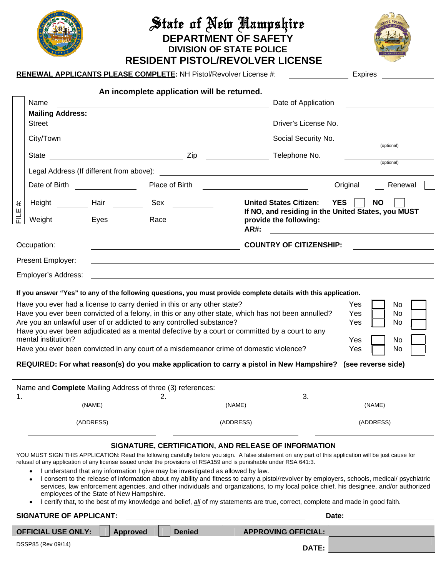|                                 |                                |                                                                                                                                                                                                                                           | State of New Aampshire<br><b>DEPARTMENT OF SAFETY</b><br><b>DIVISION OF STATE POLICE</b><br><b>RESIDENT PISTOL/REVOLVER LICENSE</b>                                                                                                                                                                                                                                                                                 |                                                                                               |  |  |
|---------------------------------|--------------------------------|-------------------------------------------------------------------------------------------------------------------------------------------------------------------------------------------------------------------------------------------|---------------------------------------------------------------------------------------------------------------------------------------------------------------------------------------------------------------------------------------------------------------------------------------------------------------------------------------------------------------------------------------------------------------------|-----------------------------------------------------------------------------------------------|--|--|
|                                 |                                | <b>RENEWAL APPLICANTS PLEASE COMPLETE: NH Pistol/Revolver License #:</b>                                                                                                                                                                  |                                                                                                                                                                                                                                                                                                                                                                                                                     | <b>Expires</b>                                                                                |  |  |
| Name<br><b>Mailing Address:</b> |                                | An incomplete application will be returned.<br><u> 1980 - Johann Barbara, martin amerikan personal (</u>                                                                                                                                  | Date of Application                                                                                                                                                                                                                                                                                                                                                                                                 |                                                                                               |  |  |
| <b>Street</b>                   |                                |                                                                                                                                                                                                                                           |                                                                                                                                                                                                                                                                                                                                                                                                                     |                                                                                               |  |  |
|                                 |                                |                                                                                                                                                                                                                                           | Social Security No.                                                                                                                                                                                                                                                                                                                                                                                                 | (optional)                                                                                    |  |  |
|                                 |                                |                                                                                                                                                                                                                                           |                                                                                                                                                                                                                                                                                                                                                                                                                     | (optional)                                                                                    |  |  |
|                                 | Date of Birth ________________ |                                                                                                                                                                                                                                           | Place of Birth <u>__________________________</u>                                                                                                                                                                                                                                                                                                                                                                    | Original<br>Renewal                                                                           |  |  |
| $\ddot{}$<br>Ш<br>≓             |                                | Height ___________ Hair ____________ Sex _____________<br>Weight __________ Eyes __________ Race ___________                                                                                                                              | <b>YES</b><br><b>United States Citizen:</b><br><b>NO</b><br>If NO, and residing in the United States, you MUST<br>provide the following:<br><b>AR#:</b><br><u> 1989 - Johann Stein, Amerikaansk politiker (</u>                                                                                                                                                                                                     |                                                                                               |  |  |
| Occupation:                     |                                |                                                                                                                                                                                                                                           |                                                                                                                                                                                                                                                                                                                                                                                                                     | COUNTRY OF CITIZENSHIP: <u>_____________</u>                                                  |  |  |
| Present Employer:               |                                |                                                                                                                                                                                                                                           |                                                                                                                                                                                                                                                                                                                                                                                                                     |                                                                                               |  |  |
| Employer's Address:             |                                |                                                                                                                                                                                                                                           |                                                                                                                                                                                                                                                                                                                                                                                                                     |                                                                                               |  |  |
|                                 | mental institution?            | Have you ever had a license to carry denied in this or any other state?<br>Are you an unlawful user of or addicted to any controlled substance?<br>Have you ever been convicted in any court of a misdemeanor crime of domestic violence? | If you answer "Yes" to any of the following questions, you must provide complete details with this application.<br>Have you ever been convicted of a felony, in this or any other state, which has not been annulled?<br>Have you ever been adjudicated as a mental defective by a court or committed by a court to any<br>REQUIRED: For what reason(s) do you make application to carry a pistol in New Hampshire? | Yes<br>No.<br>Yes<br>No.<br>Yes<br>No.<br><b>No</b><br>Yes<br>Yes<br>No<br>(see reverse side) |  |  |
|                                 |                                | Name and Complete Mailing Address of three (3) references:                                                                                                                                                                                |                                                                                                                                                                                                                                                                                                                                                                                                                     |                                                                                               |  |  |
|                                 |                                | 2.                                                                                                                                                                                                                                        | 3.                                                                                                                                                                                                                                                                                                                                                                                                                  |                                                                                               |  |  |
|                                 | (NAME)<br>(ADDRESS)            |                                                                                                                                                                                                                                           | (NAME)<br>(ADDRESS)                                                                                                                                                                                                                                                                                                                                                                                                 | (NAME)<br>(ADDRESS)                                                                           |  |  |
|                                 |                                |                                                                                                                                                                                                                                           | SIGNATURE, CERTIFICATION, AND RELEASE OF INFORMATION<br>YOU MUST SIGN THIS APPLICATION: Read the following carefully before you sign. A false statement on any part of this application will be just cause for                                                                                                                                                                                                      |                                                                                               |  |  |

- refusal of any application of any license issued under the provisions of RSA159 and is punishable under RSA 641:3.
	- I understand that any information I give may be investigated as allowed by law.
	- I consent to the release of information about my ability and fitness to carry a pistol/revolver by employers, schools, medical/ psychiatric services, law enforcement agencies, and other individuals and organizations, to my local police chief, his designee, and/or authorized employees of the State of New Hampshire.
	- I certify that, to the best of my knowledge and belief, all of my statements are true, correct, complete and made in good faith.

## **SIGNATURE OF APPLICANT:**  $\qquad \qquad$

| <b>OFFICIAL USE ONLY:</b> | <b>Approved</b> | <b>Denied</b> | <b>APPROVING OFFICIAL:</b> |  |
|---------------------------|-----------------|---------------|----------------------------|--|
| DSSP85 (Rev 09/14)        |                 |               |                            |  |
|                           |                 |               | DATE:                      |  |